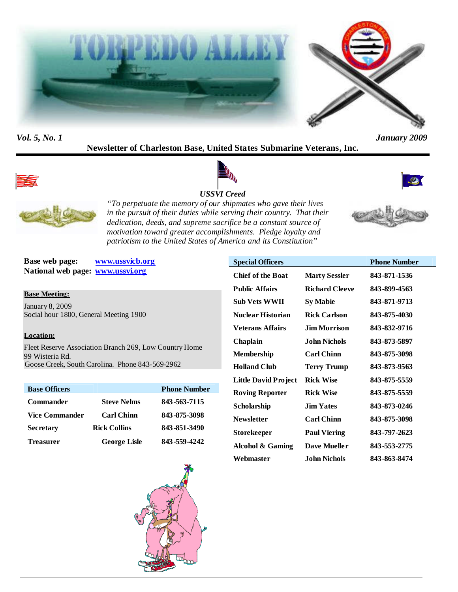



*Vol. 5, No. 1 January 2009*

**Newsletter of Charleston Base, United States Submarine Veterans, Inc.**



# *USSVI Creed*





*"To perpetuate the memory of our shipmates who gave their lives in the pursuit of their duties while serving their country. That their dedication, deeds, and supreme sacrifice be a constant source of motivation toward greater accomplishments. Pledge loyalty and patriotism to the United States of America and its Constitution"*

**Base web page: www.ussvicb.org National web page: www.ussvi.org**

**Base Meeting:**

January 8, 2009 Social hour 1800, General Meeting 1900

# **Location:**

Fleet Reserve Association Branch 269, Low Country Home 99 Wisteria Rd. Goose Creek, South Carolina. Phone 843-569-2962

| <b>Base Officers</b> |                     | <b>Phone Number</b> |
|----------------------|---------------------|---------------------|
| <b>Commander</b>     | <b>Steve Nelms</b>  | 843-563-7115        |
| Vice Commander       | <b>Carl Chinn</b>   | 843-875-3098        |
| <b>Secretary</b>     | <b>Rick Collins</b> | 843-851-3490        |
| <b>Treasurer</b>     | <b>George Lisle</b> | 843-559-4242        |



| <b>Special Officers</b>     |                       | <b>Phone Number</b> |
|-----------------------------|-----------------------|---------------------|
| <b>Chief of the Boat</b>    | <b>Marty Sessler</b>  | 843-871-1536        |
| <b>Public Affairs</b>       | <b>Richard Cleeve</b> | 843-899-4563        |
| <b>Sub Vets WWII</b>        | Sy Mabie              | 843-871-9713        |
| <b>Nuclear Historian</b>    | <b>Rick Carlson</b>   | 843-875-4030        |
| <b>Veterans Affairs</b>     | Jim Morrison.         | 843-832-9716        |
| Chaplain                    | John Nichols          | 843-873-5897        |
| Membership                  | <b>Carl Chinn</b>     | 843-875-3098        |
| <b>Holland Club</b>         | <b>Terry Trump</b>    | 843-873-9563        |
| <b>Little David Project</b> | <b>Rick Wise</b>      | 843-875-5559        |
| <b>Roving Reporter</b>      | <b>Rick Wise</b>      | 843-875-5559        |
| Scholarship                 | <b>Jim Yates</b>      | 843-873-0246        |
| <b>Newsletter</b>           | <b>Carl Chinn</b>     | 843-875-3098        |
| Storekeeper                 | <b>Paul Viering</b>   | 843-797-2623        |
| Alcohol & Gaming            | <b>Dave Mueller</b>   | 843-553-2775        |
| Webmaster                   | John Nichols          | 843-863-8474        |
|                             |                       |                     |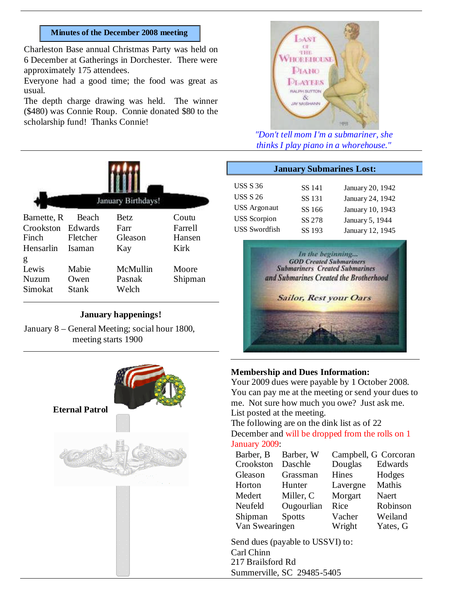#### **Minutes of the December 2008 meeting**

Charleston Base annual Christmas Party was held on 6 December at Gatherings in Dorchester. There were approximately 175 attendees.

Everyone had a good time; the food was great as usual.

The depth charge drawing was held. The winner (\$480) was Connie Roup. Connie donated \$80 to the scholarship fund! Thanks Connie!



# **January happenings!**

January 8 – General Meeting; social hour 1800, meeting starts 1900





*"Don't tell mom I'm a submariner, she thinks I play piano in a whorehouse."*

| <b>January Submarines Lost:</b> |        |                  |  |  |
|---------------------------------|--------|------------------|--|--|
| <b>USS S 36</b>                 | SS 141 | January 20, 1942 |  |  |
| <b>USS S 26</b>                 | SS 131 | January 24, 1942 |  |  |
| <b>USS</b> Argonaut             | SS 166 | January 10, 1943 |  |  |
| <b>USS</b> Scorpion             | SS 278 | January 5, 1944  |  |  |
| <b>USS Swordfish</b>            | SS 193 | January 12, 1945 |  |  |



#### **Membership and Dues Information:**

Your 2009 dues were payable by 1 October 2008. You can pay me at the meeting or send your dues to me. Not sure how much you owe? Just ask me. List posted at the meeting.

The following are on the dink list as of 22 December and will be dropped from the rolls on 1 January 2009:

| Barber, B      | Barber, W     | Campbell, G Corcoran |          |
|----------------|---------------|----------------------|----------|
| Crookston      | Daschle       | Douglas              | Edwards  |
| Gleason        | Grassman      | Hines                | Hodges   |
| Horton         | Hunter        | Lavergne             | Mathis   |
| Medert         | Miller, C     | Morgart              | Naert    |
| Neufeld        | Ougourlian    | Rice                 | Robinson |
| Shipman        | <b>Spotts</b> | Vacher               | Weiland  |
| Van Swearingen |               | Wright               | Yates, G |

Send dues (payable to USSVI) to: Carl Chinn 217 Brailsford Rd Summerville, SC 29485-5405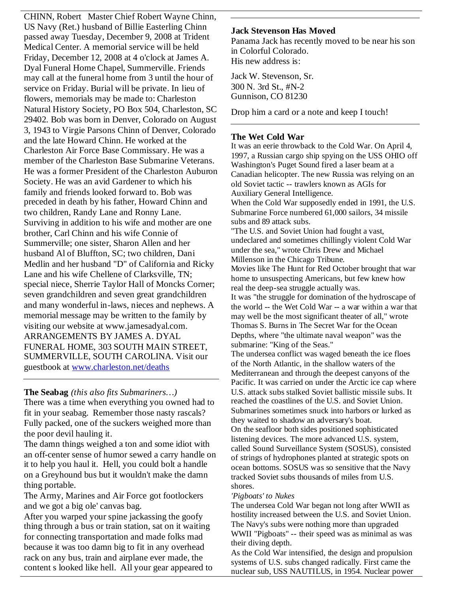CHINN, Robert Master Chief Robert Wayne Chinn, US Navy (Ret.) husband of Billie Easterling Chinn passed away Tuesday, December 9, 2008 at Trident Medical Center. A memorial service will be held Friday, December 12, 2008 at 4 o'clock at James A. Dyal Funeral Home Chapel, Summerville. Friends may call at the funeral home from 3 until the hour of service on Friday. Burial will be private. In lieu of flowers, memorials may be made to: Charleston Natural History Society, PO Box 504, Charleston, SC 29402. Bob was born in Denver, Colorado on August 3, 1943 to Virgie Parsons Chinn of Denver, Colorado and the late Howard Chinn. He worked at the Charleston Air Force Base Commissary. He was a member of the Charleston Base Submarine Veterans. He was a former President of the Charleston Auburon Society. He was an avid Gardener to which his family and friends looked forward to. Bob was preceded in death by his father, Howard Chinn and two children, Randy Lane and Ronny Lane. Surviving in addition to his wife and mother are one brother, Carl Chinn and his wife Connie of Summerville; one sister, Sharon Allen and her husband Al of Bluffton, SC; two children, Dani Medlin and her husband "D" of California and Ricky Lane and his wife Chellene of Clarksville, TN; special niece, Sherrie Taylor Hall of Moncks Corner; seven grandchildren and seven great grandchildren and many wonderful in-laws, nieces and nephews. A memorial message may be written to the family by visiting our website at www.jamesadyal.com. ARRANGEMENTS BY JAMES A. DYAL FUNERAL HOME, 303 SOUTH MAIN STREET, SUMMERVILLE, SOUTH CAROLINA. Visit our guestbook at www.charleston.net/deaths

# **The Seabag** *(this also fits Submariners…)*

There was a time when everything you owned had to fit in your seabag. Remember those nasty rascals? Fully packed, one of the suckers weighed more than the poor devil hauling it.

The damn things weighed a ton and some idiot with an off-center sense of humor sewed a carry handle on it to help you haul it. Hell, you could bolt a handle on a Greyhound bus but it wouldn't make the damn thing portable.

The Army, Marines and Air Force got footlockers and we got a big ole' canvas bag.

After you warped your spine jackassing the goofy thing through a bus or train station, sat on it waiting for connecting transportation and made folks mad because it was too damn big to fit in any overhead rack on any bus, train and airplane ever made, the content s looked like hell. All your gear appeared to

# **Jack Stevenson Has Moved**

Panama Jack has recently moved to be near his son in Colorful Colorado. His new address is:

Jack W. Stevenson, Sr. 300 N. 3rd St., #N-2 Gunnison, CO 81230

Drop him a card or a note and keep I touch!

### **The Wet Cold War**

It was an eerie throwback to the Cold War. On April 4, 1997, a Russian cargo ship spying on the USS OHIO off Washington's Puget Sound fired a laser beam at a Canadian helicopter. The new Russia was relying on an old Soviet tactic -- trawlers known as AGIs for Auxiliary General Intelligence.

When the Cold War supposedly ended in 1991, the U.S. Submarine Force numbered 61,000 sailors, 34 missile subs and 89 attack subs.

"The U.S. and Soviet Union had fought a vast, undeclared and sometimes chillingly violent Cold War under the sea," wrote Chris Drew and Michael Millenson in the Chicago Tribune.

Movies like The Hunt for Red October brought that war home to unsuspecting Americans, but few knew how real the deep-sea struggle actually was.

It was "the struggle for domination of the hydroscape of the world -- the Wet Cold War -- a war within a war that may well be the most significant theater of all," wrote Thomas S. Burns in The Secret War for the Ocean Depths, where "the ultimate naval weapon" was the submarine: "King of the Seas."

The undersea conflict was waged beneath the ice floes of the North Atlantic, in the shallow waters of the Mediterranean and through the deepest canyons of the Pacific. It was carried on under the Arctic ice cap where U.S. attack subs stalked Soviet ballistic missile subs. It reached the coastlines of the U.S. and Soviet Union. Submarines sometimes snuck into harbors or lurked as they waited to shadow an adversary's boat.

On the seafloor both sides positioned sophisticated listening devices. The more advanced U.S. system, called Sound Surveillance System (SOSUS), consisted of strings of hydrophones planted at strategic spots on ocean bottoms. SOSUS was so sensitive that the Navy tracked Soviet subs thousands of miles from U.S. shores.

#### *'Pigboats' to Nukes*

The undersea Cold War began not long after WWII as hostility increased between the U.S. and Soviet Union. The Navy's subs were nothing more than upgraded WWII "Pigboats" -- their speed was as minimal as was their diving depth.

As the Cold War intensified, the design and propulsion systems of U.S. subs changed radically. First came the nuclear sub, USS NAUTILUS, in 1954. Nuclear power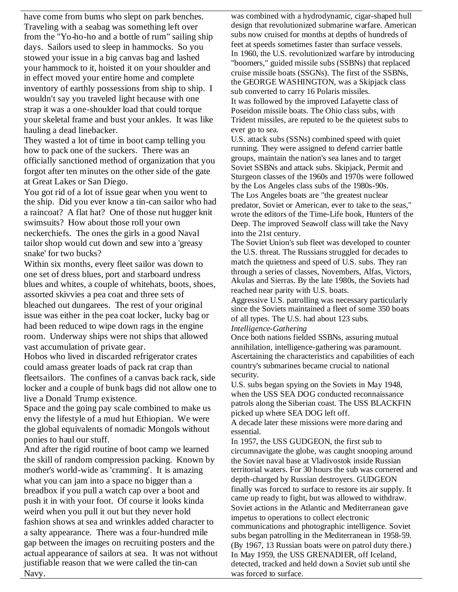have come from bums who slept on park benches. Traveling with a seabag was something left over from the "Yo-ho-ho and a bottle of rum" sailing ship days. Sailors used to sleep in hammocks. So you stowed your issue in a big canvas bag and lashed your hammock to it, hoisted it on your shoulder and in effect moved your entire home and complete inventory of earthly possessions from ship to ship. I wouldn't say you traveled light because with one strap it was a one-shoulder load that could torque your skeletal frame and bust your ankles. It was like hauling a dead linebacker.

They wasted a lot of time in boot camp telling you how to pack one of the suckers. There was an officially sanctioned method of organization that you forgot after ten minutes on the other side of the gate at Great Lakes or San Diego.

You got rid of a lot of issue gear when you went to the ship. Did you ever know a tin-can sailor who had a raincoat? A flat hat? One of those nut hugger knit swimsuits? How about those roll your own neckerchiefs. The ones the girls in a good Naval tailor shop would cut down and sew into a 'greasy snake' for two bucks?

Within six months, every fleet sailor was down to one set of dress blues, port and starboard undress blues and whites, a couple of whitehats, boots, shoes, assorted skivvies a pea coat and three sets of bleached out dungarees. The rest of your original issue was either in the pea coat locker, lucky bag or had been reduced to wipe down rags in the engine room. Underway ships were not ships that allowed vast accumulation of private gear.

Hobos who lived in discarded refrigerator crates could amass greater loads of pack rat crap than fleetsailors. The confines of a canvas back rack, side locker and a couple of bunk bags did not allow one to live a Donald Trump existence.

Space and the going pay scale combined to make us envy the lifestyle of a mud hut Ethiopian. We were the global equivalents of nomadic Mongols without ponies to haul our stuff.

And after the rigid routine of boot camp we learned the skill of random compression packing. Known by mother's world-wide as 'cramming'. It is amazing what you can jam into a space no bigger than a breadbox if you pull a watch cap over a boot and push it in with your foot. Of course it looks kinda weird when you pull it out but they never hold fashion shows at sea and wrinkles added character to a salty appearance. There was a four-hundred mile gap between the images on recruiting posters and the actual appearance of sailors at sea. It was not without justifiable reason that we were called the tin-can Navy.

was combined with a hydrodynamic, cigar-shaped hull design that revolutionized submarine warfare. American subs now cruised for months at depths of hundreds of feet at speeds sometimes faster than surface vessels. In 1960, the U.S. revolutionized warfare by introducing "boomers," guided missile subs (SSBNs) that replaced cruise missile boats (SSGNs). The first of the SSBNs, the GEORGE WASHINGTON, was a Skipjack class sub converted to carry 16 Polaris missiles. It was followed by the improved Lafayette class of Poseidon missile boats. The Ohio class subs, with Trident missiles, are reputed to be the quietest subs to ever go to sea.

U.S. attack subs (SSNs) combined speed with quiet running. They were assigned to defend carrier battle groups, maintain the nation's sea lanes and to target Soviet SSBNs and attack subs. Skipjack, Permit and Sturgeon classes of the 1960s and 1970s were followed by the Los Angeles class subs of the 1980s-90s. The Los Angeles boats are "the greatest nuclear predator, Soviet or American, ever to take to the seas," wrote the editors of the Time-Life book, Hunters of the Deep. The improved Seawolf class will take the Navy into the 21st century.

The Soviet Union's sub fleet was developed to counter the U.S. threat. The Russians struggled for decades to match the quietness and speed of U.S. subs. They ran through a series of classes, Novembers, Alfas, Victors, Akulas and Sierras. By the late 1980s, the Soviets had reached near parity with U.S. boats.

Aggressive U.S. patrolling was necessary particularly since the Soviets maintained a fleet of some 350 boats of all types. The U.S. had about 123 subs.

#### *Intelligence-Gathering*

Once both nations fielded SSBNs, assuring mutual annihilation, intelligence-gathering was paramount. Ascertaining the characteristics and capabilities of each country's submarines became crucial to national security.

U.S. subs began spying on the Soviets in May 1948, when the USS SEA DOG conducted reconnaissance patrols along the Siberian coast. The USS BLACKFIN picked up where SEA DOG left off.

A decade later these missions were more daring and essential.

In 1957, the USS GUDGEON, the first sub to circumnavigate the globe, was caught snooping around the Soviet naval base at Vladivostok inside Russian territorial waters. For 30 hours the sub was cornered and depth-charged by Russian destroyers. GUDGEON finally was forced to surface to restore its air supply. It came up ready to fight, but was allowed to withdraw. Soviet actions in the Atlantic and Mediterranean gave impetus to operations to collect electronic communications and photographic intelligence. Soviet subs began patrolling in the Mediterranean in 1958-59. (By 1967, 13 Russian boats were on patrol duty there.) In May 1959, the USS GRENADIER, off Iceland, detected, tracked and held down a Soviet sub until she was forced to surface.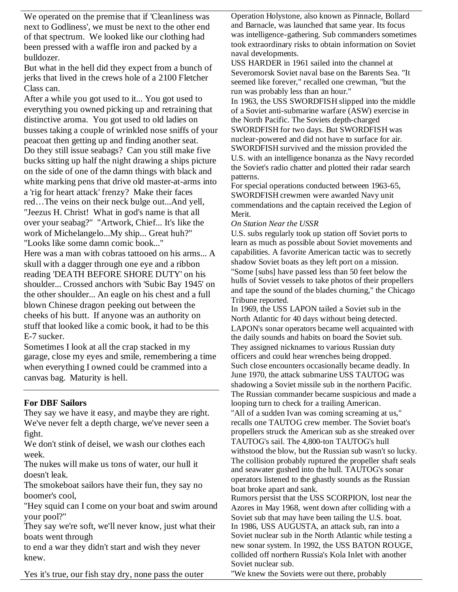We operated on the premise that if 'Cleanliness was next to Godliness', we must be next to the other end of that spectrum. We looked like our clothing had been pressed with a waffle iron and packed by a bulldozer.

But what in the hell did they expect from a bunch of jerks that lived in the crews hole of a 2100 Fletcher Class can.

After a while you got used to it... You got used to everything you owned picking up and retraining that distinctive aroma. You got used to old ladies on busses taking a couple of wrinkled nose sniffs of your peacoat then getting up and finding another seat. Do they still issue seabags? Can you still make five bucks sitting up half the night drawing a ships picture on the side of one of the damn things with black and white marking pens that drive old master-at-arms into a 'rig for heart attack' frenzy? Make their faces red…The veins on their neck bulge out...And yell, "Jeezus H. Christ! What in god's name is that all over your seabag?" "Artwork, Chief... It's like the work of Michelangelo...My ship... Great huh?" "Looks like some damn comic book..." Here was a man with cobras tattooed on his arms... A skull with a dagger through one eye and a ribbon reading 'DEATH BEFORE SHORE DUTY' on his shoulder... Crossed anchors with 'Subic Bay 1945' on the other shoulder... An eagle on his chest and a full blown Chinese dragon peeking out between the cheeks of his butt. If anyone was an authority on stuff that looked like a comic book, it had to be this E-7 sucker.

Sometimes I look at all the crap stacked in my garage, close my eyes and smile, remembering a time when everything I owned could be crammed into a canvas bag. Maturity is hell.

# **For DBF Sailors**

They say we have it easy, and maybe they are right. We've never felt a depth charge, we've never seen a fight.

We don't stink of deisel, we wash our clothes each week.

The nukes will make us tons of water, our hull it doesn't leak.

The smokeboat sailors have their fun, they say no boomer's cool,

"Hey squid can I come on your boat and swim around your pool?"

They say we're soft, we'll never know, just what their boats went through

to end a war they didn't start and wish they never knew.

Yes it's true, our fish stay dry, none pass the outer

Operation Holystone, also known as Pinnacle, Bollard and Barnacle, was launched that same year. Its focus was intelligence-gathering. Sub commanders sometimes took extraordinary risks to obtain information on Soviet naval developments.

USS HARDER in 1961 sailed into the channel at Severomorsk Soviet naval base on the Barents Sea. "It seemed like forever," recalled one crewman, "but the run was probably less than an hour."

In 1963, the USS SWORDFISH slipped into the middle of a Soviet anti-submarine warfare (ASW) exercise in the North Pacific. The Soviets depth-charged SWORDFISH for two days. But SWORDFISH was nuclear-powered and did not have to surface for air. SWORDFISH survived and the mission provided the U.S. with an intelligence bonanza as the Navy recorded the Soviet's radio chatter and plotted their radar search patterns.

For special operations conducted between 1963-65, SWORDFISH crewmen were awarded Navy unit commendations and the captain received the Legion of Merit.

#### *On Station Near the USSR*

U.S. subs regularly took up station off Soviet ports to learn as much as possible about Soviet movements and capabilities. A favorite American tactic was to secretly shadow Soviet boats as they left port on a mission. "Some [subs] have passed less than 50 feet below the hulls of Soviet vessels to take photos of their propellers and tape the sound of the blades churning," the Chicago Tribune reported.

In 1969, the USS LAPON tailed a Soviet sub in the North Atlantic for 40 days without being detected. LAPON's sonar operators became well acquainted with the daily sounds and habits on board the Soviet sub. They assigned nicknames to various Russian duty officers and could hear wrenches being dropped. Such close encounters occasionally became deadly. In June 1970, the attack submarine USS TAUTOG was shadowing a Soviet missile sub in the northern Pacific. The Russian commander became suspicious and made a looping turn to check for a trailing American.

"All of a sudden Ivan was coming screaming at us," recalls one TAUTOG crew member. The Soviet boat's propellers struck the American sub as she streaked over TAUTOG's sail. The 4,800-ton TAUTOG's hull withstood the blow, but the Russian sub wasn't so lucky. The collision probably ruptured the propeller shaft seals and seawater gushed into the hull. TAUTOG's sonar operators listened to the ghastly sounds as the Russian boat broke apart and sank.

Rumors persist that the USS SCORPION, lost near the Azores in May 1968, went down after colliding with a Soviet sub that may have been tailing the U.S. boat. In 1986, USS AUGUSTA, an attack sub, ran into a Soviet nuclear sub in the North Atlantic while testing a new sonar system. In 1992, the USS BATON ROUGE, collided off northern Russia's Kola Inlet with another Soviet nuclear sub.

"We knew the Soviets were out there, probably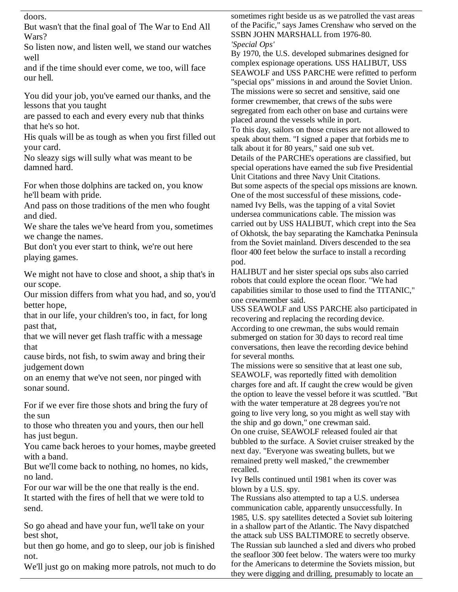doors.

But wasn't that the final goal of The War to End All Wars?

So listen now, and listen well, we stand our watches well

and if the time should ever come, we too, will face our hell.

You did your job, you've earned our thanks, and the lessons that you taught

are passed to each and every every nub that thinks that he's so hot.

His quals will be as tough as when you first filled out your card.

No sleazy sigs will sully what was meant to be damned hard.

For when those dolphins are tacked on, you know he'll beam with pride.

And pass on those traditions of the men who fought and died.

We share the tales we've heard from you, sometimes we change the names.

But don't you ever start to think, we're out here playing games.

We might not have to close and shoot, a ship that's in our scope.

Our mission differs from what you had, and so, you'd better hope,

that in our life, your children's too, in fact, for long past that,

that we will never get flash traffic with a message that

cause birds, not fish, to swim away and bring their judgement down

on an enemy that we've not seen, nor pinged with sonar sound.

For if we ever fire those shots and bring the fury of the sun

to those who threaten you and yours, then our hell has just begun.

You came back heroes to your homes, maybe greeted with a band.

But we'll come back to nothing, no homes, no kids, no land.

For our war will be the one that really is the end. It started with the fires of hell that we were told to send.

So go ahead and have your fun, we'll take on your best shot,

but then go home, and go to sleep, our job is finished not.

We'll just go on making more patrols, not much to do

sometimes right beside us as we patrolled the vast areas of the Pacific," says James Crenshaw who served on the SSBN JOHN MARSHALL from 1976-80. *'Special Ops'*

By 1970, the U.S. developed submarines designed for complex espionage operations. USS HALIBUT, USS SEAWOLF and USS PARCHE were refitted to perform "special ops" missions in and around the Soviet Union. The missions were so secret and sensitive, said one former crewmember, that crews of the subs were segregated from each other on base and curtains were placed around the vessels while in port. To this day, sailors on those cruises are not allowed to speak about them. "I signed a paper that forbids me to talk about it for 80 years," said one sub vet. Details of the PARCHE's operations are classified, but special operations have earned the sub five Presidential Unit Citations and three Navy Unit Citations. But some aspects of the special ops missions are known. One of the most successful of these missions, codenamed Ivy Bells, was the tapping of a vital Soviet undersea communications cable. The mission was carried out by USS HALIBUT, which crept into the Sea of Okhotsk, the bay separating the Kamchatka Peninsula from the Soviet mainland. Divers descended to the sea floor 400 feet below the surface to install a recording pod.

HALIBUT and her sister special ops subs also carried robots that could explore the ocean floor. "We had capabilities similar to those used to find the TITANIC," one crewmember said.

USS SEAWOLF and USS PARCHE also participated in recovering and replacing the recording device. According to one crewman, the subs would remain submerged on station for 30 days to record real time conversations, then leave the recording device behind for several months.

The missions were so sensitive that at least one sub, SEAWOLF, was reportedly fitted with demolition charges fore and aft. If caught the crew would be given the option to leave the vessel before it was scuttled. "But with the water temperature at 28 degrees you're not going to live very long, so you might as well stay with the ship and go down," one crewman said.

On one cruise, SEAWOLF released fouled air that bubbled to the surface. A Soviet cruiser streaked by the next day. "Everyone was sweating bullets, but we remained pretty well masked," the crewmember recalled.

Ivy Bells continued until 1981 when its cover was blown by a U.S. spy.

The Russians also attempted to tap a U.S. undersea communication cable, apparently unsuccessfully. In 1985, U.S. spy satellites detected a Soviet sub loitering in a shallow part of the Atlantic. The Navy dispatched the attack sub USS BALTIMORE to secretly observe. The Russian sub launched a sled and divers who probed the seafloor 300 feet below. The waters were too murky for the Americans to determine the Soviets mission, but they were digging and drilling, presumably to locate an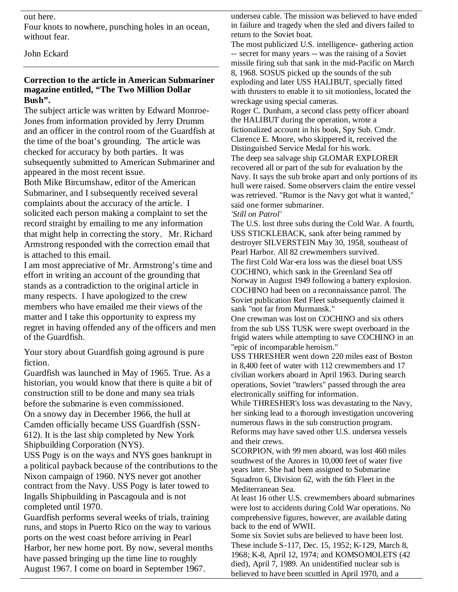#### out here.

Four knots to nowhere, punching holes in an ocean, without fear.

John Eckard

# **Correction to the article in American Submariner magazine entitled, "The Two Million Dollar Bush".**

The subject article was written by Edward Monroe-Jones from information provided by Jerry Drumm and an officer in the control room of the Guardfish at the time of the boat's grounding. The article was checked for accuracy by both parties. It was subsequently submitted to American Submariner and appeared in the most recent issue.

Both Mike Bircumshaw, editor of the American Submariner, and I subsequently received several complaints about the accuracy of the article. I solicited each person making a complaint to set the record straight by emailing to me any information that might help in correcting the story. Mr. Richard Armstrong responded with the correction email that is attached to this email.

I am most appreciative of Mr. Armstrong's time and effort in writing an account of the grounding that stands as a contradiction to the original article in many respects. I have apologized to the crew members who have emailed me their views of the matter and I take this opportunity to express my regret in having offended any of the officers and men of the Guardfish.

Your story about Guardfish going aground is pure fiction.

Guardfish was launched in May of 1965. True. As a historian, you would know that there is quite a bit of construction still to be done and many sea trials before the submarine is even commissioned. On a snowy day in December 1966, the hull at Camden officially became USS Guardfish (SSN-612). It is the last ship completed by New York Shipbuilding Corporation (NYS).

USS Pogy is on the ways and NYS goes bankrupt in a political payback because of the contributions to the Nixon campaign of 1960. NYS never got another contract from the Navy. USS Pogy is later towed to Ingalls Shipbuilding in Pascagoula and is not completed until 1970.

Guardfish performs several weeks of trials, training runs, and stops in Puerto Rico on the way to various ports on the west coast before arriving in Pearl Harbor, her new home port. By now, several months have passed bringing up the time line to roughly August 1967. I come on board in September 1967.

undersea cable. The mission was believed to have ended in failure and tragedy when the sled and divers failed to return to the Soviet boat.

The most publicized U.S. intelligence- gathering action -- secret for many years -- was the raising of a Soviet missile firing sub that sank in the mid-Pacific on March 8, 1968. SOSUS picked up the sounds of the sub exploding and later USS HALIBUT, specially fitted with thrusters to enable it to sit motionless, located the wreckage using special cameras.

Roger C. Dunham, a second class petty officer aboard the HALIBUT during the operation, wrote a fictionalized account in his book, Spy Sub. Cmdr. Clarence E. Moore, who skippered it, received the Distinguished Service Medal for his work.

The deep sea salvage ship GLOMAR EXPLORER recovered all or part of the sub for evaluation by the Navy. It says the sub broke apart and only portions of its hull were raised. Some observers claim the entire vessel was retrieved. "Rumor is the Navy got what it wanted," said one former submariner.

*'Still on Patrol'*

The U.S. lost three subs during the Cold War. A fourth, USS STICKLEBACK, sank after being rammed by destroyer SILVERSTEIN May 30, 1958, southeast of Pearl Harbor. All 82 crewmembers survived.

The first Cold War-era loss was the diesel boat USS COCHINO, which sank in the Greenland Sea off Norway in August 1949 following a battery explosion. COCHINO had been on a reconnaissance patrol. The Soviet publication Red Fleet subsequently claimed it sank "not far from Murmansk."

One crewman was lost on COCHINO and six others from the sub USS TUSK were swept overboard in the frigid waters while attempting to save COCHINO in an "epic of incomparable heroism."

USS THRESHER went down 220 miles east of Boston in 8,400 feet of water with 112 crewmembers and 17 civilian workers aboard in April 1963. During search operations, Soviet "trawlers" passed through the area electronically sniffing for information.

While THRESHER's loss was devastating to the Navy, her sinking lead to a thorough investigation uncovering numerous flaws in the sub construction program. Reforms may have saved other U.S. undersea vessels and their crews.

SCORPION, with 99 men aboard, was lost 460 miles southwest of the Azores in 10,000 feet of water five years later. She had been assigned to Submarine Squadron 6, Division 62, with the 6th Fleet in the Mediterranean Sea.

At least 16 other U.S. crewmembers aboard submarines were lost to accidents during Cold War operations. No comprehensive figures, however, are available dating back to the end of WWII.

Some six Soviet subs are believed to have been lost. These include S-117, Dec. 15, 1952; K-129, March 8, 1968; K-8, April 12, 1974; and KOMSOMOLETS (42 died), April 7, 1989. An unidentified nuclear sub is believed to have been scuttled in April 1970, and a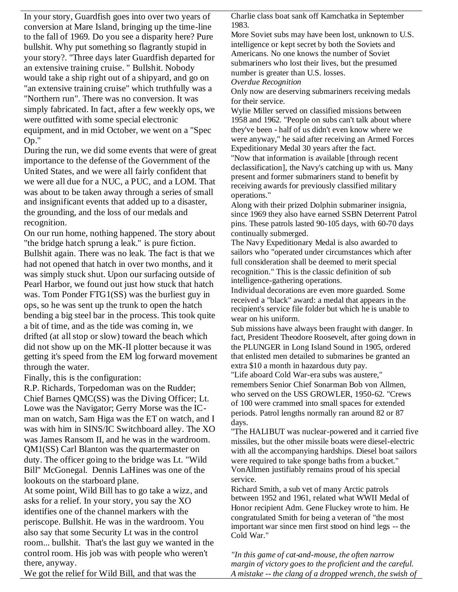In your story, Guardfish goes into over two years of conversion at Mare Island, bringing up the time-line to the fall of 1969. Do you see a disparity here? Pure bullshit. Why put something so flagrantly stupid in your story?. "Three days later Guardfish departed for an extensive training cruise. " Bullshit. Nobody would take a ship right out of a shipyard, and go on "an extensive training cruise" which truthfully was a "Northern run". There was no conversion. It was simply fabricated. In fact, after a few weekly ops, we were outfitted with some special electronic equipment, and in mid October, we went on a "Spec Op."

During the run, we did some events that were of great importance to the defense of the Government of the United States, and we were all fairly confident that we were all due for a NUC, a PUC, and a LOM. That was about to be taken away through a series of small and insignificant events that added up to a disaster, the grounding, and the loss of our medals and recognition.

On our run home, nothing happened. The story about "the bridge hatch sprung a leak." is pure fiction. Bullshit again. There was no leak. The fact is that we had not opened that hatch in over two months, and it was simply stuck shut. Upon our surfacing outside of Pearl Harbor, we found out just how stuck that hatch was. Tom Ponder FTG1(SS) was the burliest guy in ops, so he was sent up the trunk to open the hatch bending a big steel bar in the process. This took quite a bit of time, and as the tide was coming in, we drifted (at all stop or slow) toward the beach which did not show up on the MK-II plotter because it was getting it's speed from the EM log forward movement through the water.

Finally, this is the configuration:

R.P. Richards, Torpedoman was on the Rudder; Chief Barnes QMC(SS) was the Diving Officer; Lt. Lowe was the Navigator; Gerry Morse was the ICman on watch, Sam Higa was the ET on watch, and I was with him in SINS/IC Switchboard alley. The XO was James Ransom II, and he was in the wardroom. QM1(SS) Carl Blanton was the quartermaster on duty. The officer going to the bridge was Lt. "Wild Bill" McGonegal. Dennis LaHines was one of the lookouts on the starboard plane.

At some point, Wild Bill has to go take a wizz, and asks for a relief. In your story, you say the XO identifies one of the channel markers with the periscope. Bullshit. He was in the wardroom. You also say that some Security Lt was in the control room... bullshit. That's the last guy we wanted in the control room. His job was with people who weren't there, anyway.

Charlie class boat sank off Kamchatka in September 1983.

More Soviet subs may have been lost, unknown to U.S. intelligence or kept secret by both the Soviets and Americans. No one knows the number of Soviet submariners who lost their lives, but the presumed number is greater than U.S. losses.

*Overdue Recognition*

Only now are deserving submariners receiving medals for their service.

Wylie Miller served on classified missions between 1958 and 1962. "People on subs can't talk about where they've been - half of us didn't even know where we were anyway," he said after receiving an Armed Forces Expeditionary Medal 30 years after the fact.

"Now that information is available [through recent declassification], the Navy's catching up with us. Many present and former submariners stand to benefit by receiving awards for previously classified military operations."

Along with their prized Dolphin submariner insignia, since 1969 they also have earned SSBN Deterrent Patrol pins. These patrols lasted 90-105 days, with 60-70 days continually submerged.

The Navy Expeditionary Medal is also awarded to sailors who "operated under circumstances which after full consideration shall be deemed to merit special recognition." This is the classic definition of sub intelligence-gathering operations.

Individual decorations are even more guarded. Some received a "black" award: a medal that appears in the recipient's service file folder but which he is unable to wear on his uniform.

Sub missions have always been fraught with danger. In fact, President Theodore Roosevelt, after going down in the PLUNGER in Long Island Sound in 1905, ordered that enlisted men detailed to submarines be granted an extra \$10 a month in hazardous duty pay.

"Life aboard Cold War-era subs was austere," remembers Senior Chief Sonarman Bob von Allmen, who served on the USS GROWLER, 1950-62. "Crews of 100 were crammed into small spaces for extended periods. Patrol lengths normally ran around 82 or 87 days.

"The HALIBUT was nuclear-powered and it carried five missiles, but the other missile boats were diesel-electric with all the accompanying hardships. Diesel boat sailors were required to take sponge baths from a bucket." VonAllmen justifiably remains proud of his special service.

Richard Smith, a sub vet of many Arctic patrols between 1952 and 1961, related what WWII Medal of Honor recipient Adm. Gene Fluckey wrote to him. He congratulated Smith for being a veteran of "the most important war since men first stood on hind legs -- the Cold War."

*"In this game of cat-and-mouse, the often narrow margin of victory goes to the proficient and the careful. A mistake -- the clang of a dropped wrench, the swish of*

We got the relief for Wild Bill, and that was the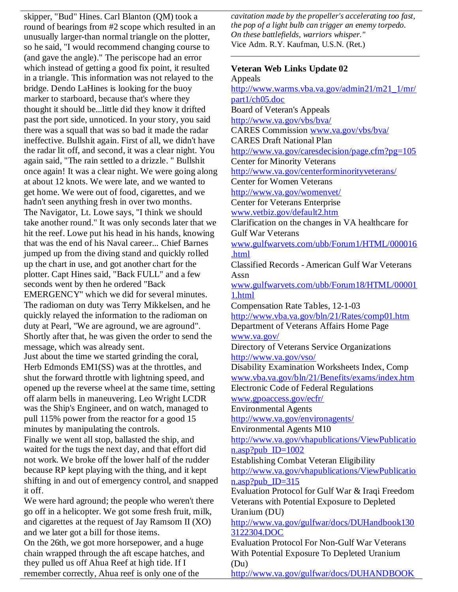skipper, "Bud" Hines. Carl Blanton (QM) took a round of bearings from #2 scope which resulted in an unusually larger-than normal triangle on the plotter, so he said, "I would recommend changing course to (and gave the angle)." The periscope had an error which instead of getting a good fix point, it resulted in a triangle. This information was not relayed to the bridge. Dendo LaHines is looking for the buoy marker to starboard, because that's where they thought it should be...little did they know it drifted past the port side, unnoticed. In your story, you said there was a squall that was so bad it made the radar ineffective. Bullshit again. First of all, we didn't have the radar lit off, and second, it was a clear night. You again said, "The rain settled to a drizzle. " Bullshit once again! It was a clear night. We were going along at about 12 knots. We were late, and we wanted to get home. We were out of food, cigarettes, and we hadn't seen anything fresh in over two months. The Navigator, Lt. Lowe says, "I think we should take another round." It was only seconds later that we hit the reef. Lowe put his head in his hands, knowing that was the end of his Naval career... Chief Barnes jumped up from the diving stand and quickly rolled up the chart in use, and got another chart for the plotter. Capt Hines said, "Back FULL" and a few seconds went by then he ordered "Back EMERGENCY" which we did for several minutes. The radioman on duty was Terry Mikkelsen, and he quickly relayed the information to the radioman on duty at Pearl, "We are aground, we are aground". Shortly after that, he was given the order to send the message, which was already sent. Just about the time we started grinding the coral, Herb Edmonds EM1(SS) was at the throttles, and shut the forward throttle with lightning speed, and opened up the reverse wheel at the same time, setting off alarm bells in maneuvering. Leo Wright LCDR was the Ship's Engineer, and on watch, managed to pull 115% power from the reactor for a good 15 minutes by manipulating the controls. Finally we went all stop, ballasted the ship, and waited for the tugs the next day, and that effort did not work. We broke off the lower half of the rudder because RP kept playing with the thing, and it kept shifting in and out of emergency control, and snapped it off. We were hard aground; the people who weren't there

go off in a helicopter. We got some fresh fruit, milk, and cigarettes at the request of Jay Ramsom II (XO) and we later got a bill for those items. On the 26th, we got more horsepower, and a huge

chain wrapped through the aft escape hatches, and they pulled us off Ahua Reef at high tide. If I remember correctly, Ahua reef is only one of the

*cavitation made by the propeller's accelerating too fast, the pop of a light bulb can trigger an enemy torpedo. On these battlefields, warriors whisper."* Vice Adm. R.Y. Kaufman, U.S.N. (Ret.)

**Veteran Web Links Update 02** Appeals http://www.warms.vba.va.gov/admin21/m21\_1/mr/ part1/ch05.doc Board of Veteran's Appeals http://www.va.gov/vbs/bva/ CARES Commission www.va.gov/vbs/bva/ CARES Draft National Plan http://www.va.gov/caresdecision/page.cfm?pg=105 Center for Minority Veterans http://www.va.gov/centerforminorityveterans/ Center for Women Veterans http://www.va.gov/womenvet/ Center for Veterans Enterprise www.vetbiz.gov/default2.htm Clarification on the changes in VA healthcare for Gulf War Veterans www.gulfwarvets.com/ubb/Forum1/HTML/000016 .html Classified Records - American Gulf War Veterans Assn www.gulfwarvets.com/ubb/Forum18/HTML/00001 1.html Compensation Rate Tables, 12-1-03 http://www.vba.va.gov/bln/21/Rates/comp01.htm Department of Veterans Affairs Home Page www.va.gov/ Directory of Veterans Service Organizations http://www.va.gov/vso/ Disability Examination Worksheets Index, Comp www.vba.va.gov/bln/21/Benefits/exams/index.htm Electronic Code of Federal Regulations www.gpoaccess.gov/ecfr/ Environmental Agents http://www.va.gov/environagents/ Environmental Agents M10 http://www.va.gov/vhapublications/ViewPublicatio n.asp?pub\_ID=1002 Establishing Combat Veteran Eligibility http://www.va.gov/vhapublications/ViewPublicatio n.asp?pub\_ID=315 Evaluation Protocol for Gulf War & Iraqi Freedom Veterans with Potential Exposure to Depleted Uranium (DU) http://www.va.gov/gulfwar/docs/DUHandbook130 3122304.DOC Evaluation Protocol For Non-Gulf War Veterans With Potential Exposure To Depleted Uranium (Du)

http://www.va.gov/gulfwar/docs/DUHANDBOOK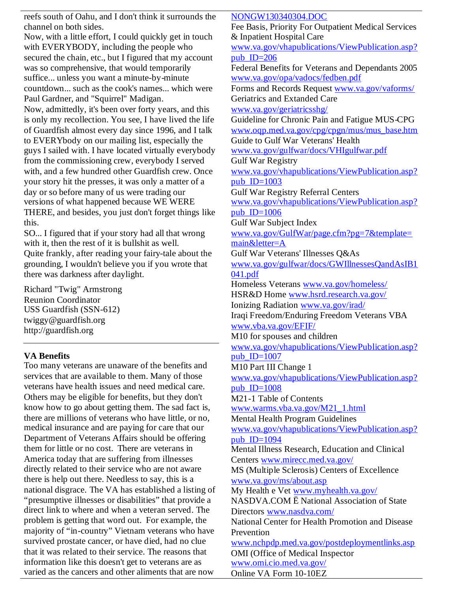reefs south of Oahu, and I don't think it surrounds the channel on both sides. Now, with a little effort, I could quickly get in touch with EVERYBODY, including the people who secured the chain, etc., but I figured that my account was so comprehensive, that would temporarily suffice... unless you want a minute-by-minute countdown... such as the cook's names... which were Paul Gardner, and "Squirrel" Madigan. Now, admittedly, it's been over forty years, and this is only my recollection. You see, I have lived the life of Guardfish almost every day since 1996, and I talk to EVERYbody on our mailing list, especially the guys I sailed with. I have located virtually everybody from the commissioning crew, everybody I served with, and a few hundred other Guardfish crew. Once your story hit the presses, it was only a matter of a day or so before many of us were trading our versions of what happened because WE WERE THERE, and besides, you just don't forget things like this. SO... I figured that if your story had all that wrong with it, then the rest of it is bullshit as well. Quite frankly, after reading your fairy-tale about the grounding, I wouldn't believe you if you wrote that there was darkness after daylight. Richard "Twig" Armstrong Reunion Coordinator USS Guardfish (SSN-612) twiggy@guardfish.org http://guardfish.org **VA Benefits** Too many veterans are unaware of the benefits and services that are available to them. Many of those veterans have health issues and need medical care. Others may be eligible for benefits, but they don't know how to go about getting them. The sad fact is, there are millions of veterans who have little, or no, medical insurance and are paying for care that our Department of Veterans Affairs should be offering them for little or no cost. There are veterans in America today that are suffering from illnesses directly related to their service who are not aware there is help out there. Needless to say, this is a national disgrace. The VA has established a listing of "presumptive illnesses or disabilities" that provide a direct link to where and when a veteran served. The problem is getting that word out. For example, the majority of "in-country" Vietnam veterans who have survived prostate cancer, or have died, had no clue NONGW130340304.DOC Fee Basis, Priority For Outpatient Medical Services & Inpatient Hospital Care www.va.gov/vhapublications/ViewPublication.asp? pub  $ID=206$ Federal Benefits for Veterans and Dependants 2005 www.va.gov/opa/vadocs/fedben.pdf Forms and Records Request www.va.gov/vaforms/ Geriatrics and Extanded Care www.va.gov/geriatricsshg/ Guideline for Chronic Pain and Fatigue MUS-CPG www.oqp.med.va.gov/cpg/cpgn/mus/mus\_base.htm Guide to Gulf War Veterans' Health www.va.gov/gulfwar/docs/VHIgulfwar.pdf Gulf War Registry www.va.gov/vhapublications/ViewPublication.asp? pub $ID=1003$ Gulf War Registry Referral Centers www.va.gov/vhapublications/ViewPublication.asp? pub  $ID=1006$ Gulf War Subject Index www.va.gov/GulfWar/page.cfm?pg=7&template= main&letter=A Gulf War Veterans' Illnesses Q&As www.va.gov/gulfwar/docs/GWIllnessesQandAsIB1 041.pdf Homeless Veterans www.va.gov/homeless/ HSR&D Home www.hsrd.research.va.gov/ Ionizing Radiation www.va.gov/irad/ Iraqi Freedom/Enduring Freedom Veterans VBA www.vba.va.gov/EFIF/ M10 for spouses and children www.va.gov/vhapublications/ViewPublication.asp? pub $ID=1007$ M10 Part III Change 1 www.va.gov/vhapublications/ViewPublication.asp? pub $ID=1008$ M21-1 Table of Contents www.warms.vba.va.gov/M21\_1.html Mental Health Program Guidelines www.va.gov/vhapublications/ViewPublication.asp? pub  $ID=1094$ Mental Illness Research, Education and Clinical Centers www.mirecc.med.va.gov/ MS (Multiple Sclerosis) Centers of Excellence www.va.gov/ms/about.asp My Health e Vet www.myhealth.va.gov/ NASDVA.COM Ë National Association of State Directors www.nasdva.com/ National Center for Health Promotion and Disease Prevention www.nchpdp.med.va.gov/postdeploymentlinks.asp

information like this doesn't get to veterans are as varied as the cancers and other aliments that are now

that it was related to their service. The reasons that

www.omi.cio.med.va.gov/ Online VA Form 10-10EZ

OMI (Office of Medical Inspector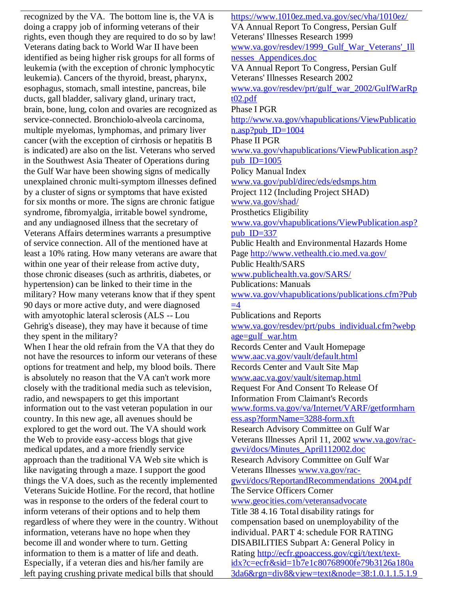recognized by the VA. The bottom line is, the VA is doing a crappy job of informing veterans of their rights, even though they are required to do so by law! Veterans dating back to World War II have been identified as being higher risk groups for all forms of leukemia (with the exception of chronic lymphocytic leukemia). Cancers of the thyroid, breast, pharynx, esophagus, stomach, small intestine, pancreas, bile ducts, gall bladder, salivary gland, urinary tract, brain, bone, lung, colon and ovaries are recognized as service-connected. Bronchiolo-alveola carcinoma, multiple myelomas, lymphomas, and primary liver cancer (with the exception of cirrhosis or hepatitis B is indicated) are also on the list. Veterans who served in the Southwest Asia Theater of Operations during the Gulf War have been showing signs of medically unexplained chronic multi-symptom illnesses defined by a cluster of signs or symptoms that have existed for six months or more. The signs are chronic fatigue syndrome, fibromyalgia, irritable bowel syndrome, and any undiagnosed illness that the secretary of Veterans Affairs determines warrants a presumptive of service connection. All of the mentioned have at least a 10% rating. How many veterans are aware that within one year of their release from active duty, those chronic diseases (such as arthritis, diabetes, or hypertension) can be linked to their time in the military? How many veterans know that if they spent 90 days or more active duty, and were diagnosed with amyotophic lateral sclerosis (ALS -- Lou Gehrig's disease), they may have it because of time they spent in the military?

When I hear the old refrain from the VA that they do not have the resources to inform our veterans of these options for treatment and help, my blood boils. There is absolutely no reason that the VA can't work more closely with the traditional media such as television, radio, and newspapers to get this important information out to the vast veteran population in our country. In this new age, all avenues should be explored to get the word out. The VA should work the Web to provide easy-access blogs that give medical updates, and a more friendly service approach than the traditional VA Web site which is like navigating through a maze. I support the good things the VA does, such as the recently implemented Veterans Suicide Hotline. For the record, that hotline was in response to the orders of the federal court to inform veterans of their options and to help them regardless of where they were in the country. Without information, veterans have no hope when they become ill and wonder where to turn. Getting information to them is a matter of life and death. Especially, if a veteran dies and his/her family are left paying crushing private medical bills that should

https://www.1010ez.med.va.gov/sec/vha/1010ez/ VA Annual Report To Congress, Persian Gulf Veterans' Illnesses Research 1999 www.va.gov/resdev/1999\_Gulf\_War\_Veterans'\_Ill nesses\_Appendices.doc VA Annual Report To Congress, Persian Gulf Veterans' Illnesses Research 2002 www.va.gov/resdev/prt/gulf\_war\_2002/GulfWarRp t02.pdf Phase I PGR http://www.va.gov/vhapublications/ViewPublicatio n.asp?pub\_ID=1004 Phase II PGR www.va.gov/vhapublications/ViewPublication.asp? pub  $ID=1005$ Policy Manual Index www.va.gov/publ/direc/eds/edsmps.htm Project 112 (Including Project SHAD) www.va.gov/shad/ Prosthetics Eligibility www.va.gov/vhapublications/ViewPublication.asp? pub $ID=337$ Public Health and Environmental Hazards Home Page http://www.vethealth.cio.med.va.gov/ Public Health/SARS www.publichealth.va.gov/SARS/ Publications: Manuals www.va.gov/vhapublications/publications.cfm?Pub  $=4$ Publications and Reports www.va.gov/resdev/prt/pubs\_individual.cfm?webp age=gulf\_war.htm Records Center and Vault Homepage www.aac.va.gov/vault/default.html Records Center and Vault Site Map www.aac.va.gov/vault/sitemap.html Request For And Consent To Release Of Information From Claimant's Records www.forms.va.gov/va/Internet/VARF/getformharn ess.asp?formName=3288-form.xft Research Advisory Committee on Gulf War Veterans Illnesses April 11, 2002 www.va.gov/racgwvi/docs/Minutes\_April112002.doc Research Advisory Committee on Gulf War Veterans Illnesses www.va.gov/racgwvi/docs/ReportandRecommendations\_2004.pdf The Service Officers Corner www.geocities.com/veteransadvocate Title 38 4.16 Total disability ratings for compensation based on unemployability of the individual. PART 4: schedule FOR RATING DISABILITIES Subpart A: General Policy in Rating http://ecfr.gpoaccess.gov/cgi/t/text/textidx?c=ecfr&sid=1b7e1c80768900fe79b3126a180a 3da6&rgn=div8&view=text&node=38:1.0.1.1.5.1.9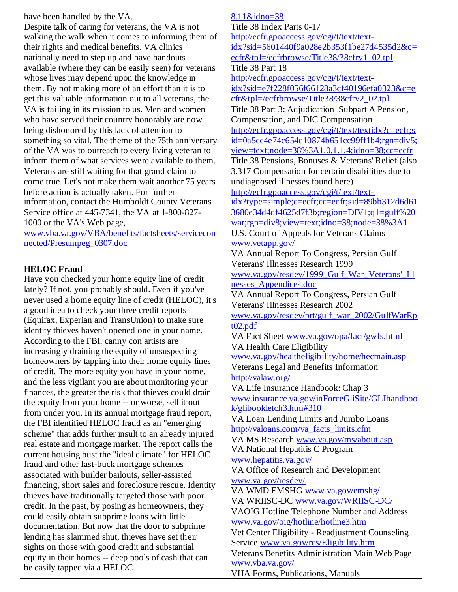have been handled by the VA. Despite talk of caring for veterans, the VA is not walking the walk when it comes to informing them of their rights and medical benefits. VA clinics nationally need to step up and have handouts available (where they can be easily seen) for veterans whose lives may depend upon the knowledge in them. By not making more of an effort than it is to get this valuable information out to all veterans, the VA is failing in its mission to us. Men and women who have served their country honorably are now being dishonored by this lack of attention to something so vital. The theme of the 75th anniversary of the VA was to outreach to every living veteran to inform them of what services were available to them. Veterans are still waiting for that grand claim to come true. Let's not make them wait another 75 years before action is actually taken. For further information, contact the Humboldt County Veterans Service office at 445-7341, the VA at 1-800-827- 1000 or the VA's Web page,

www.vba.va.gov/VBA/benefits/factsheets/servicecon nected/Presumpeg\_0307.doc

# **HELOC Fraud**

Have you checked your home equity line of credit lately? If not, you probably should. Even if you've never used a home equity line of credit (HELOC), it's a good idea to check your three credit reports (Equifax, Experian and TransUnion) to make sure identity thieves haven't opened one in your name. According to the FBI, canny con artists are increasingly draining the equity of unsuspecting homeowners by tapping into their home equity lines of credit. The more equity you have in your home, and the less vigilant you are about monitoring your finances, the greater the risk that thieves could drain the equity from your home -- or worse, sell it out from under you. In its annual mortgage fraud report, the FBI identified HELOC fraud as an "emerging scheme" that adds further insult to an already injured real estate and mortgage market. The report calls the current housing bust the "ideal climate" for HELOC fraud and other fast-buck mortgage schemes associated with builder bailouts, seller-assisted financing, short sales and foreclosure rescue. Identity thieves have traditionally targeted those with poor credit. In the past, by posing as homeowners, they could easily obtain subprime loans with little documentation. But now that the door to subprime lending has slammed shut, thieves have set their sights on those with good credit and substantial equity in their homes -- deep pools of cash that can be easily tapped via a HELOC.

8.11&idno=38 Title 38 Index Parts 0-17 http://ecfr.gpoaccess.gov/cgi/t/text/textidx?sid=5601440f9a028e2b353f1be27d4535d2&c= ecfr&tpl=/ecfrbrowse/Title38/38cfrv1\_02.tpl Title 38 Part 18 http://ecfr.gpoaccess.gov/cgi/t/text/textidx?sid=e7f228f056f66128a3cf40196efa0323&c=e cfr&tpl=/ecfrbrowse/Title38/38cfrv2\_02.tpl Title 38 Part 3: Adjudication Subpart A Pension, Compensation, and DIC Compensation http://ecfr.gpoaccess.gov/cgi/t/text/textidx?c=ecfr;s id=0a5cc4e74c654c10874b651cc99ff1b4;rgn=div5; view=text;node=38%3A1.0.1.1.4;idno=38;cc=ecfr Title 38 Pensions, Bonuses & Veterans' Relief (also 3.317 Compensation for certain disabilities due to undiagnosed illnesses found here) http://ecfr.gpoaccess.gov/cgi/t/text/textidx?type=simple;c=ecfr;cc=ecfr;sid=89bb312d6d61 3680e34d4df4625d7f3b;region=DIV1;q1=gulf%20 war;rgn=div8;view=text;idno=38;node=38%3A1 U.S. Court of Appeals for Veterans Claims www.vetapp.gov/ VA Annual Report To Congress, Persian Gulf Veterans' Illnesses Research 1999 www.va.gov/resdev/1999\_Gulf\_War\_Veterans'\_Ill nesses\_Appendices.doc VA Annual Report To Congress, Persian Gulf Veterans' Illnesses Research 2002 www.va.gov/resdev/prt/gulf\_war\_2002/GulfWarRp  $t02.pdf$ VA Fact Sheet www.va.gov/opa/fact/gwfs.html VA Health Care Eligibility www.va.gov/healtheligibility/home/hecmain.asp Veterans Legal and Benefits Information http://valaw.org/ VA Life Insurance Handbook: Chap 3 www.insurance.va.gov/inForceGliSite/GLIhandboo k/glibookletch3.htm#310 VA Loan Lending Limits and Jumbo Loans http://valoans.com/va\_facts\_limits.cfm VA MS Research www.va.gov/ms/about.asp VA National Hepatitis C Program www.hepatitis.va.gov/ VA Office of Research and Development www.va.gov/resdev/ VA WMD EMSHG www.va.gov/emshg/ VA WRIISC-DC www.va.gov/WRIISC-DC/ VAOIG Hotline Telephone Number and Address www.va.gov/oig/hotline/hotline3.htm Vet Center Eligibility - Readjustment Counseling Service www.va.gov/rcs/Eligibility.htm Veterans Benefits Administration Main Web Page www.vba.va.gov/

VHA Forms, Publications, Manuals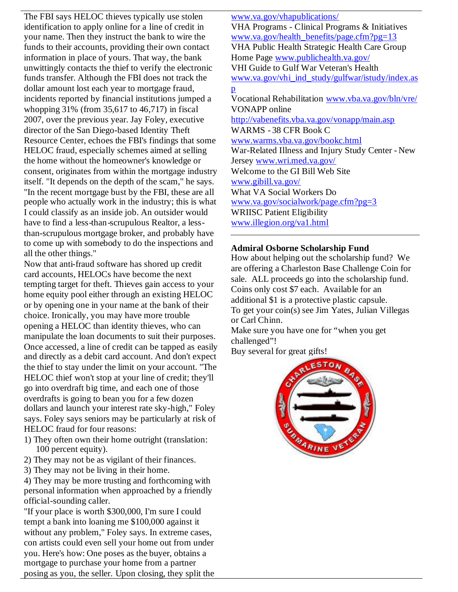The FBI says HELOC thieves typically use stolen identification to apply online for a line of credit in your name. Then they instruct the bank to wire the funds to their accounts, providing their own contact information in place of yours. That way, the bank unwittingly contacts the thief to verify the electronic funds transfer. Although the FBI does not track the dollar amount lost each year to mortgage fraud, incidents reported by financial institutions jumped a whopping 31% (from 35,617 to 46,717) in fiscal 2007, over the previous year. Jay Foley, executive director of the San Diego-based Identity Theft Resource Center, echoes the FBI's findings that some HELOC fraud, especially schemes aimed at selling the home without the homeowner's knowledge or consent, originates from within the mortgage industry itself. "It depends on the depth of the scam," he says. "In the recent mortgage bust by the FBI, these are all people who actually work in the industry; this is what I could classify as an inside job. An outsider would have to find a less-than-scrupulous Realtor, a lessthan-scrupulous mortgage broker, and probably have to come up with somebody to do the inspections and all the other things."

Now that anti-fraud software has shored up credit card accounts, HELOCs have become the next tempting target for theft. Thieves gain access to your home equity pool either through an existing HELOC or by opening one in your name at the bank of their choice. Ironically, you may have more trouble opening a HELOC than identity thieves, who can manipulate the loan documents to suit their purposes. Once accessed, a line of credit can be tapped as easily and directly as a debit card account. And don't expect the thief to stay under the limit on your account. "The HELOC thief won't stop at your line of credit; they'll go into overdraft big time, and each one of those overdrafts is going to bean you for a few dozen dollars and launch your interest rate sky-high," Foley says. Foley says seniors may be particularly at risk of HELOC fraud for four reasons:

- 1) They often own their home outright (translation: 100 percent equity).
- 2) They may not be as vigilant of their finances.
- 3) They may not be living in their home.

4) They may be more trusting and forthcoming with personal information when approached by a friendly official-sounding caller.

"If your place is worth \$300,000, I'm sure I could tempt a bank into loaning me \$100,000 against it without any problem," Foley says. In extreme cases, con artists could even sell your home out from under you. Here's how: One poses as the buyer, obtains a mortgage to purchase your home from a partner posing as you, the seller. Upon closing, they split the

www.va.gov/vhapublications/ VHA Programs - Clinical Programs & Initiatives www.va.gov/health\_benefits/page.cfm?pg=13 VHA Public Health Strategic Health Care Group Home Page www.publichealth.va.gov/ VHI Guide to Gulf War Veteran's Health www.va.gov/vhi\_ind\_study/gulfwar/istudy/index.as p Vocational Rehabilitation www.vba.va.gov/bln/vre/ VONAPP online http://vabenefits.vba.va.gov/vonapp/main.asp WARMS - 38 CFR Book C www.warms.vba.va.gov/bookc.html War-Related Illness and Injury Study Center - New Jersey www.wri.med.va.gov/ Welcome to the GI Bill Web Site www.gibill.va.gov/ What VA Social Workers Do www.va.gov/socialwork/page.cfm?pg=3 WRIISC Patient Eligibility www.illegion.org/va1.html

### **Admiral Osborne Scholarship Fund**

How about helping out the scholarship fund? We are offering a Charleston Base Challenge Coin for sale. ALL proceeds go into the scholarship fund. Coins only cost \$7 each. Available for an additional \$1 is a protective plastic capsule. To get your coin(s) see Jim Yates, Julian Villegas or Carl Chinn.

Make sure you have one for "when you get challenged"!

Buy several for great gifts!

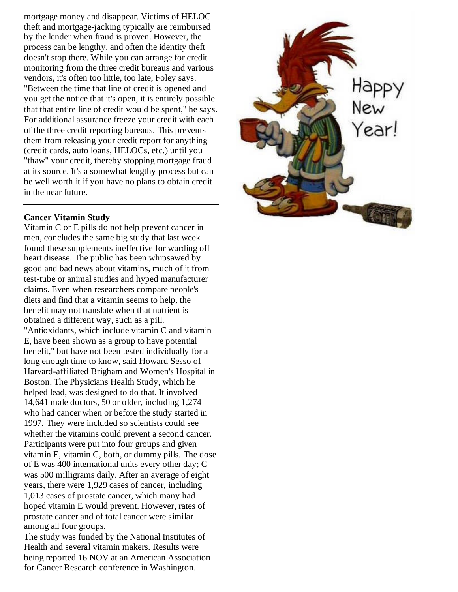mortgage money and disappear. Victims of HELOC theft and mortgage-jacking typically are reimbursed by the lender when fraud is proven. However, the process can be lengthy, and often the identity theft doesn't stop there. While you can arrange for credit monitoring from the three credit bureaus and various vendors, it's often too little, too late, Foley says. "Between the time that line of credit is opened and you get the notice that it's open, it is entirely possible that that entire line of credit would be spent," he says. For additional assurance freeze your credit with each of the three credit reporting bureaus. This prevents them from releasing your credit report for anything (credit cards, auto loans, HELOCs, etc.) until you "thaw" your credit, thereby stopping mortgage fraud at its source. It's a somewhat lengthy process but can be well worth it if you have no plans to obtain credit in the near future.

# **Cancer Vitamin Study**

Vitamin C or E pills do not help prevent cancer in men, concludes the same big study that last week found these supplements ineffective for warding off heart disease. The public has been whipsawed by good and bad news about vitamins, much of it from test-tube or animal studies and hyped manufacturer claims. Even when researchers compare people's diets and find that a vitamin seems to help, the benefit may not translate when that nutrient is obtained a different way, such as a pill. "Antioxidants, which include vitamin C and vitamin E, have been shown as a group to have potential benefit," but have not been tested individually for a long enough time to know, said Howard Sesso of Harvard-affiliated Brigham and Women's Hospital in Boston. The Physicians Health Study, which he helped lead, was designed to do that. It involved 14,641 male doctors, 50 or older, including 1,274 who had cancer when or before the study started in 1997. They were included so scientists could see whether the vitamins could prevent a second cancer. Participants were put into four groups and given vitamin E, vitamin C, both, or dummy pills. The dose of E was 400 international units every other day; C was 500 milligrams daily. After an average of eight years, there were 1,929 cases of cancer, including 1,013 cases of prostate cancer, which many had hoped vitamin E would prevent. However, rates of prostate cancer and of total cancer were similar among all four groups.

The study was funded by the National Institutes of Health and several vitamin makers. Results were being reported 16 NOV at an American Association for Cancer Research conference in Washington.